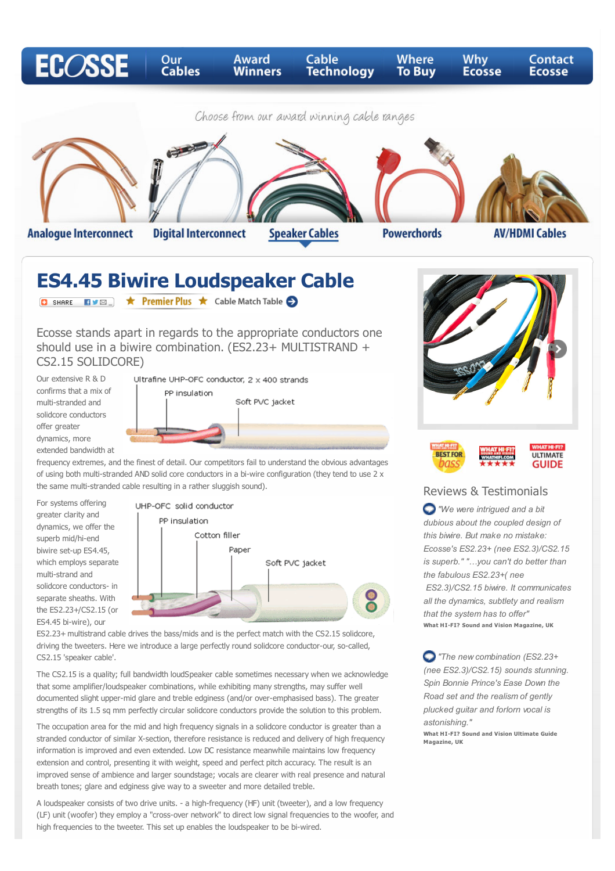

should use in a biwire combination. (ES2.23+ MULTISTRAND + CS2.15 SOLIDCORE)

Our extensive R & D confirms that a mix of multi-stranded and solidcore conductors offer greater dynamics, more extended bandwidth at Ultrafine UHP-OFC conductor, 2 x 400 strands PP insulation Soft PVC jacket



frequency extremes, and the finest of detail. Our competitors fail to understand the obvious advantages of using both multi-stranded AND solid core conductors in a bi-wire configuration (they tend to use 2 x the same multi-stranded cable resulting in a rather sluggish sound).

For systems offering greater clarity and dynamics, we offer the superb mid/hi-end biwire set-up ES4.45, which employs separate multi-strand and solidcore conductors- in separate sheaths. With the ES2.23+/CS2.15 (or ES4.45 bi-wire), our



ES2.23+ multistrand cable drives the bass/mids and is the perfect match with the CS2.15 solidcore, driving the tweeters. Here we introduce a large perfectly round solidcore conductor-our, so-called, CS2.15 'speaker cable'.

The CS2.15 is a quality; full bandwidth loudSpeaker cable sometimes necessary when we acknowledge that some amplifier/loudspeaker combinations, while exhibiting many strengths, may suffer well documented slight upper-mid glare and treble edginess (and/or over-emphasised bass). The greater strengths of its 1.5 sq mm perfectly circular solidcore conductors provide the solution to this problem.

The occupation area for the mid and high frequency signals in a solidcore conductor is greater than a stranded conductor of similar X-section, therefore resistance is reduced and delivery of high frequency information is improved and even extended. Low DC resistance meanwhile maintains low frequency extension and control, presenting it with weight, speed and perfect pitch accuracy. The result is an improved sense of ambience and larger soundstage; vocals are clearer with real presence and natural breath tones; glare and edginess give way to a sweeter and more detailed treble.

A loudspeaker consists of two drive units. - a high-frequency (HF) unit (tweeter), and a low frequency (LF) unit (woofer) they employ a "cross-over network" to direct low signal frequencies to the woofer, and high frequencies to the tweeter. This set up enables the loudspeaker to be bi-wired.

**BEST FOR ULTIMATE** pass **GUIDE** 

## Reviews & Testimonials

*"We were intrigued and a bit dubious about the coupled design of this biwire. But make no mistake: Ecosse's ES2.23+ (nee ES2.3)/CS2.15 is superb." "…you can't do better than the fabulous ES2.23+( nee ES2.3)/CS2.15 biwire. It communicates all the dynamics, subtlety and realism that the system has to offer"* **What HI-FI? Sound and Vision Magazine, UK**

 *"The new combination (ES2.23+ (nee ES2.3)/CS2.15) sounds stunning. Spin Bonnie Prince's Ease Down the Road set and the realism of gently plucked guitar and forlorn vocal is astonishing."*

**What HI-FI? Sound and Vision Ultimate Guide Magazine, UK**